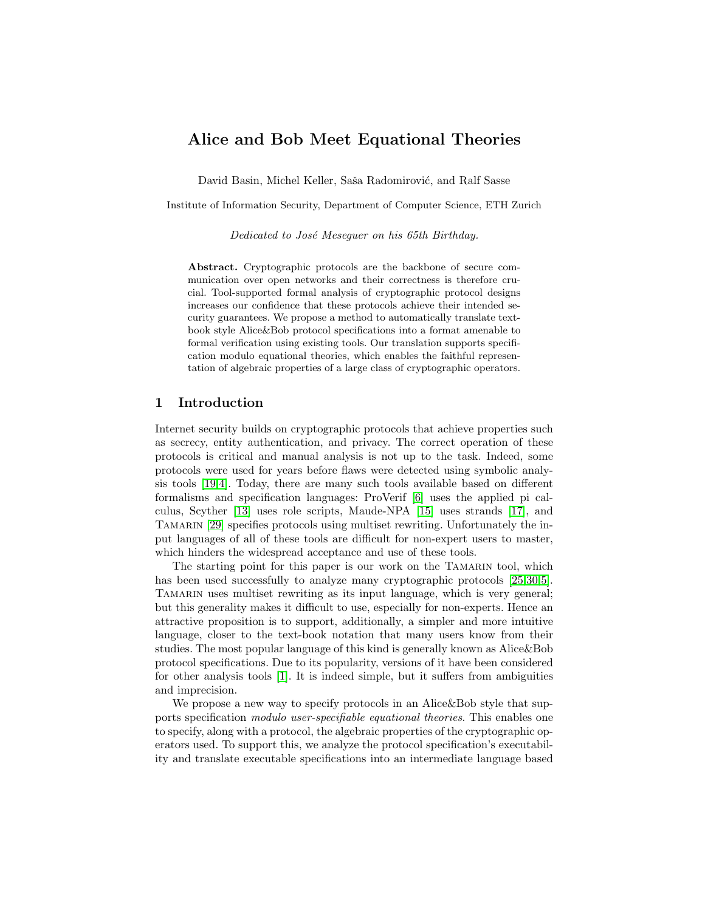# Alice and Bob Meet Equational Theories

David Basin, Michel Keller, Saša Radomirović, and Ralf Sasse

Institute of Information Security, Department of Computer Science, ETH Zurich

Dedicated to José Mesequer on his 65th Birthday.

Abstract. Cryptographic protocols are the backbone of secure communication over open networks and their correctness is therefore crucial. Tool-supported formal analysis of cryptographic protocol designs increases our confidence that these protocols achieve their intended security guarantees. We propose a method to automatically translate textbook style Alice&Bob protocol specifications into a format amenable to formal verification using existing tools. Our translation supports specification modulo equational theories, which enables the faithful representation of algebraic properties of a large class of cryptographic operators.

### 1 Introduction

Internet security builds on cryptographic protocols that achieve properties such as secrecy, entity authentication, and privacy. The correct operation of these protocols is critical and manual analysis is not up to the task. Indeed, some protocols were used for years before flaws were detected using symbolic analysis tools [\[19,](#page-20-0)[4\]](#page-19-0). Today, there are many such tools available based on different formalisms and specification languages: ProVerif [\[6\]](#page-19-1) uses the applied pi calculus, Scyther [\[13\]](#page-19-2) uses role scripts, Maude-NPA [\[15\]](#page-20-1) uses strands [\[17\]](#page-20-2), and Tamarin [\[29\]](#page-20-3) specifies protocols using multiset rewriting. Unfortunately the input languages of all of these tools are difficult for non-expert users to master, which hinders the widespread acceptance and use of these tools.

The starting point for this paper is our work on the TAMARIN tool, which has been used successfully to analyze many cryptographic protocols [\[25,](#page-20-4)[30,](#page-20-5)[5\]](#page-19-3). Tamarin uses multiset rewriting as its input language, which is very general; but this generality makes it difficult to use, especially for non-experts. Hence an attractive proposition is to support, additionally, a simpler and more intuitive language, closer to the text-book notation that many users know from their studies. The most popular language of this kind is generally known as Alice&Bob protocol specifications. Due to its popularity, versions of it have been considered for other analysis tools [\[1\]](#page-19-4). It is indeed simple, but it suffers from ambiguities and imprecision.

We propose a new way to specify protocols in an Alice & Bob style that supports specification modulo user-specifiable equational theories. This enables one to specify, along with a protocol, the algebraic properties of the cryptographic operators used. To support this, we analyze the protocol specification's executability and translate executable specifications into an intermediate language based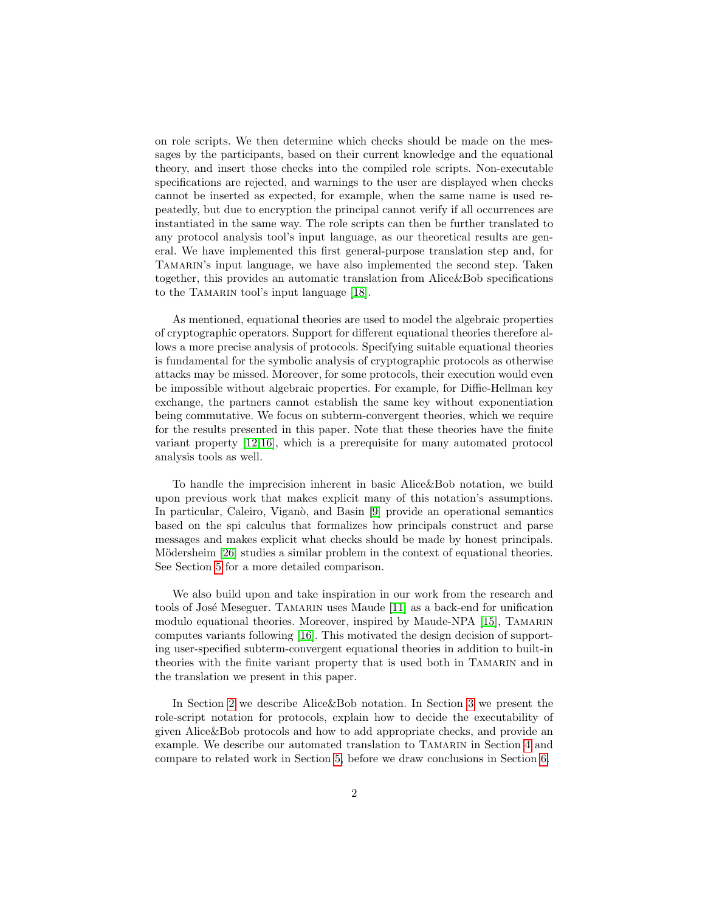on role scripts. We then determine which checks should be made on the messages by the participants, based on their current knowledge and the equational theory, and insert those checks into the compiled role scripts. Non-executable specifications are rejected, and warnings to the user are displayed when checks cannot be inserted as expected, for example, when the same name is used repeatedly, but due to encryption the principal cannot verify if all occurrences are instantiated in the same way. The role scripts can then be further translated to any protocol analysis tool's input language, as our theoretical results are general. We have implemented this first general-purpose translation step and, for TAMARIN's input language, we have also implemented the second step. Taken together, this provides an automatic translation from Alice&Bob specifications to the TAMARIN tool's input language [\[18\]](#page-20-6).

As mentioned, equational theories are used to model the algebraic properties of cryptographic operators. Support for different equational theories therefore allows a more precise analysis of protocols. Specifying suitable equational theories is fundamental for the symbolic analysis of cryptographic protocols as otherwise attacks may be missed. Moreover, for some protocols, their execution would even be impossible without algebraic properties. For example, for Diffie-Hellman key exchange, the partners cannot establish the same key without exponentiation being commutative. We focus on subterm-convergent theories, which we require for the results presented in this paper. Note that these theories have the finite variant property [\[12,](#page-19-5)[16\]](#page-20-7), which is a prerequisite for many automated protocol analysis tools as well.

To handle the imprecision inherent in basic Alice&Bob notation, we build upon previous work that makes explicit many of this notation's assumptions. In particular, Caleiro, Viganò, and Basin [\[9\]](#page-19-6) provide an operational semantics based on the spi calculus that formalizes how principals construct and parse messages and makes explicit what checks should be made by honest principals. Mödersheim [\[26\]](#page-20-8) studies a similar problem in the context of equational theories. See Section [5](#page-16-0) for a more detailed comparison.

We also build upon and take inspiration in our work from the research and tools of José Meseguer. TAMARIN uses Maude [\[11\]](#page-19-7) as a back-end for unification modulo equational theories. Moreover, inspired by Maude-NPA [\[15\]](#page-20-1), Tamarin computes variants following [\[16\]](#page-20-7). This motivated the design decision of supporting user-specified subterm-convergent equational theories in addition to built-in theories with the finite variant property that is used both in TAMARIN and in the translation we present in this paper.

In Section [2](#page-2-0) we describe Alice&Bob notation. In Section [3](#page-6-0) we present the role-script notation for protocols, explain how to decide the executability of given Alice&Bob protocols and how to add appropriate checks, and provide an example. We describe our automated translation to TAMARIN in Section [4](#page-15-0) and compare to related work in Section [5,](#page-16-0) before we draw conclusions in Section [6.](#page-18-0)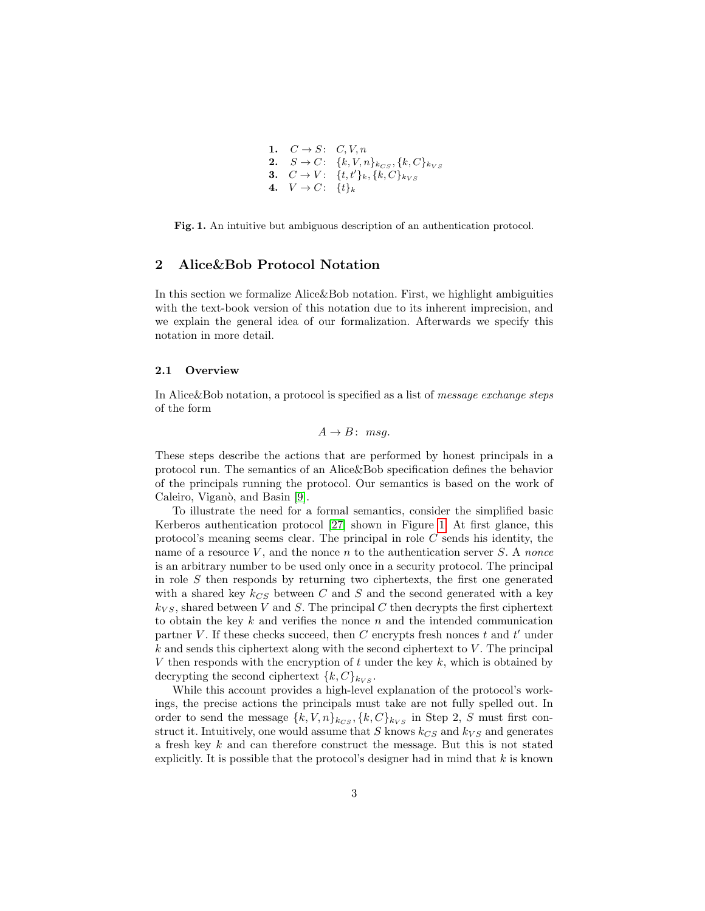**1.** 
$$
C \to S
$$
:  $C, V, n$   
\n**2.**  $S \to C$ :  $\{k, V, n\}_{k_{CS}}, \{k, C\}_{k_{VS}}$   
\n**3.**  $C \to V$ :  $\{t, t'\}_k, \{k, C\}_{k_{VS}}$   
\n**4.**  $V \to C$ :  $\{t\}_k$ 

<span id="page-2-1"></span>Fig. 1. An intuitive but ambiguous description of an authentication protocol.

# <span id="page-2-0"></span>2 Alice&Bob Protocol Notation

In this section we formalize Alice&Bob notation. First, we highlight ambiguities with the text-book version of this notation due to its inherent imprecision, and we explain the general idea of our formalization. Afterwards we specify this notation in more detail.

#### <span id="page-2-2"></span>2.1 Overview

In Alice&Bob notation, a protocol is specified as a list of message exchange steps of the form

$$
A \to B: \; msg.
$$

These steps describe the actions that are performed by honest principals in a protocol run. The semantics of an Alice&Bob specification defines the behavior of the principals running the protocol. Our semantics is based on the work of Caleiro, Viganò, and Basin [\[9\]](#page-19-6).

To illustrate the need for a formal semantics, consider the simplified basic Kerberos authentication protocol [\[27\]](#page-20-9) shown in Figure [1.](#page-2-1) At first glance, this protocol's meaning seems clear. The principal in role  $C$  sends his identity, the name of a resource  $V$ , and the nonce  $n$  to the authentication server  $S$ . A nonce is an arbitrary number to be used only once in a security protocol. The principal in role  $S$  then responds by returning two ciphertexts, the first one generated with a shared key  $k_{CS}$  between C and S and the second generated with a key  $k_{VS}$ , shared between V and S. The principal C then decrypts the first ciphertext to obtain the key  $k$  and verifies the nonce  $n$  and the intended communication partner V. If these checks succeed, then  $C$  encrypts fresh nonces  $t$  and  $t'$  under  $k$  and sends this ciphertext along with the second ciphertext to  $V$ . The principal V then responds with the encryption of  $t$  under the key  $k$ , which is obtained by decrypting the second ciphertext  ${k, C}_{k_{VS}}$ .

While this account provides a high-level explanation of the protocol's workings, the precise actions the principals must take are not fully spelled out. In order to send the message  $\{k, V, n\}_{k_{CS}}, \{k, C\}_{k_{VS}}$  in Step 2, S must first construct it. Intuitively, one would assume that S knows  $k_{CS}$  and  $k_{VS}$  and generates a fresh key k and can therefore construct the message. But this is not stated explicitly. It is possible that the protocol's designer had in mind that  $k$  is known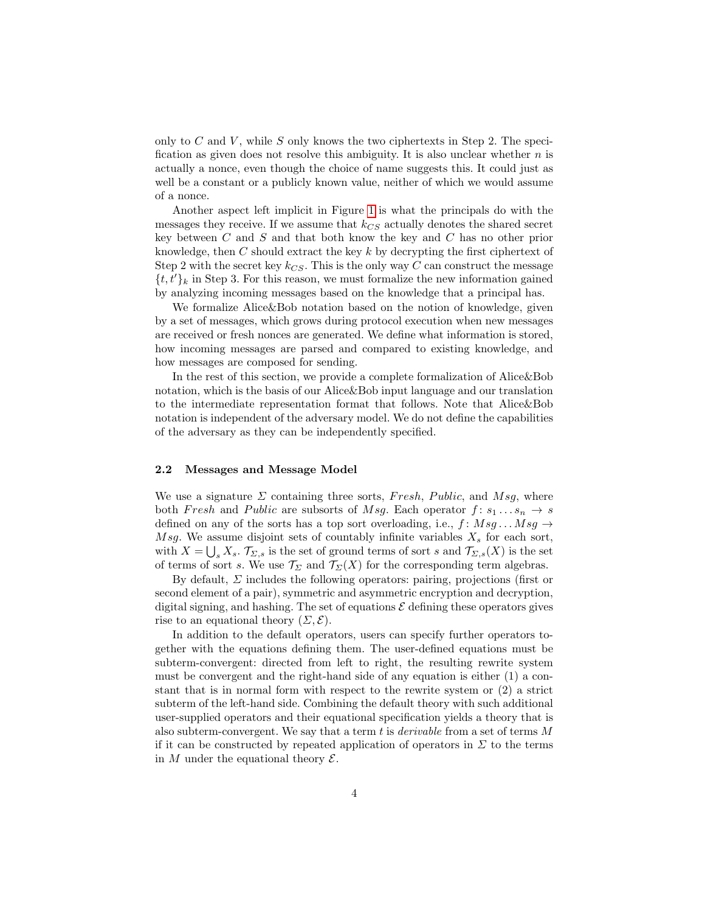only to  $C$  and  $V$ , while  $S$  only knows the two ciphertexts in Step 2. The specification as given does not resolve this ambiguity. It is also unclear whether  $n$  is actually a nonce, even though the choice of name suggests this. It could just as well be a constant or a publicly known value, neither of which we would assume of a nonce.

Another aspect left implicit in Figure [1](#page-2-1) is what the principals do with the messages they receive. If we assume that  $k_{CS}$  actually denotes the shared secret key between  $C$  and  $S$  and that both know the key and  $C$  has no other prior knowledge, then  $C$  should extract the key  $k$  by decrypting the first ciphertext of Step 2 with the secret key  $k_{CS}$ . This is the only way C can construct the message  $\{t, t'\}_k$  in Step 3. For this reason, we must formalize the new information gained by analyzing incoming messages based on the knowledge that a principal has.

We formalize Alice&Bob notation based on the notion of knowledge, given by a set of messages, which grows during protocol execution when new messages are received or fresh nonces are generated. We define what information is stored, how incoming messages are parsed and compared to existing knowledge, and how messages are composed for sending.

In the rest of this section, we provide a complete formalization of Alice&Bob notation, which is the basis of our Alice&Bob input language and our translation to the intermediate representation format that follows. Note that Alice&Bob notation is independent of the adversary model. We do not define the capabilities of the adversary as they can be independently specified.

#### <span id="page-3-0"></span>2.2 Messages and Message Model

We use a signature  $\Sigma$  containing three sorts, Fresh, Public, and Msg, where both Fresh and Public are subsorts of Msg. Each operator  $f: s_1 \dots s_n \to s$ defined on any of the sorts has a top sort overloading, i.e.,  $f: Msg...Msg \rightarrow$ Msg. We assume disjoint sets of countably infinite variables  $X_s$  for each sort, with  $X = \bigcup_s X_s$ .  $\mathcal{T}_{\Sigma,s}$  is the set of ground terms of sort s and  $\mathcal{T}_{\Sigma,s}(X)$  is the set of terms of sort s. We use  $\mathcal{T}_{\Sigma}$  and  $\mathcal{T}_{\Sigma}(X)$  for the corresponding term algebras.

By default,  $\Sigma$  includes the following operators: pairing, projections (first or second element of a pair), symmetric and asymmetric encryption and decryption, digital signing, and hashing. The set of equations  $\mathcal E$  defining these operators gives rise to an equational theory  $(\Sigma, \mathcal{E})$ .

In addition to the default operators, users can specify further operators together with the equations defining them. The user-defined equations must be subterm-convergent: directed from left to right, the resulting rewrite system must be convergent and the right-hand side of any equation is either (1) a constant that is in normal form with respect to the rewrite system or (2) a strict subterm of the left-hand side. Combining the default theory with such additional user-supplied operators and their equational specification yields a theory that is also subterm-convergent. We say that a term  $t$  is *derivable* from a set of terms  $M$ if it can be constructed by repeated application of operators in  $\Sigma$  to the terms in M under the equational theory  $\mathcal{E}$ .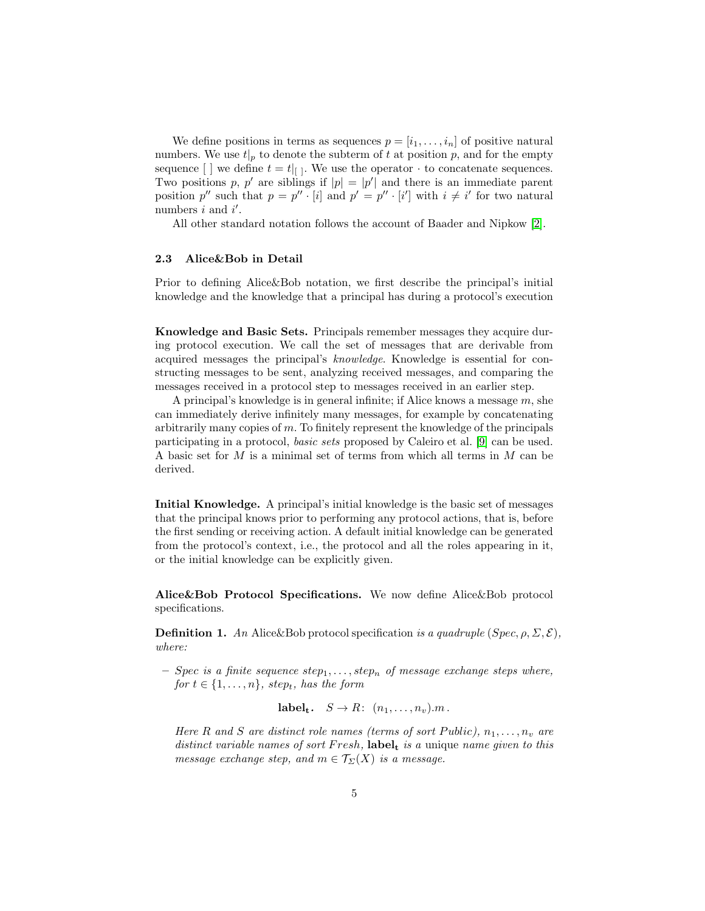We define positions in terms as sequences  $p = [i_1, \ldots, i_n]$  of positive natural numbers. We use  $t|_p$  to denote the subterm of t at position p, and for the empty sequence [] we define  $t = t_{\vert \vert}$ . We use the operator  $\cdot$  to concatenate sequences. Two positions p, p' are siblings if  $|p| = |p'|$  and there is an immediate parent position p'' such that  $p = p'' \cdot [i]$  and  $p' = p'' \cdot [i']$  with  $i \neq i'$  for two natural numbers  $i$  and  $i'$ .

All other standard notation follows the account of Baader and Nipkow [\[2\]](#page-19-8).

### 2.3 Alice&Bob in Detail

Prior to defining Alice&Bob notation, we first describe the principal's initial knowledge and the knowledge that a principal has during a protocol's execution

Knowledge and Basic Sets. Principals remember messages they acquire during protocol execution. We call the set of messages that are derivable from acquired messages the principal's knowledge. Knowledge is essential for constructing messages to be sent, analyzing received messages, and comparing the messages received in a protocol step to messages received in an earlier step.

A principal's knowledge is in general infinite; if Alice knows a message  $m$ , she can immediately derive infinitely many messages, for example by concatenating arbitrarily many copies of  $m$ . To finitely represent the knowledge of the principals participating in a protocol, basic sets proposed by Caleiro et al. [\[9\]](#page-19-6) can be used. A basic set for M is a minimal set of terms from which all terms in M can be derived.

Initial Knowledge. A principal's initial knowledge is the basic set of messages that the principal knows prior to performing any protocol actions, that is, before the first sending or receiving action. A default initial knowledge can be generated from the protocol's context, i.e., the protocol and all the roles appearing in it, or the initial knowledge can be explicitly given.

Alice&Bob Protocol Specifications. We now define Alice&Bob protocol specifications.

**Definition 1.** An Alice&Bob protocol specification is a quadruple ( $Spec, \rho, \Sigma, \mathcal{E}$ ), where:

– Spec is a finite sequence step<sub>1</sub>,..., step<sub>n</sub> of message exchange steps where, for  $t \in \{1, \ldots, n\}$ , step<sub>t</sub>, has the form

label<sub>t</sub>.  $S \to R: (n_1, \ldots, n_v)$ .m.

Here R and S are distinct role names (terms of sort Public),  $n_1, \ldots, n_v$  are distinct variable names of sort Fresh,  $\text{label}_{t}$  is a unique name given to this message exchange step, and  $m \in \mathcal{T}_{\Sigma}(X)$  is a message.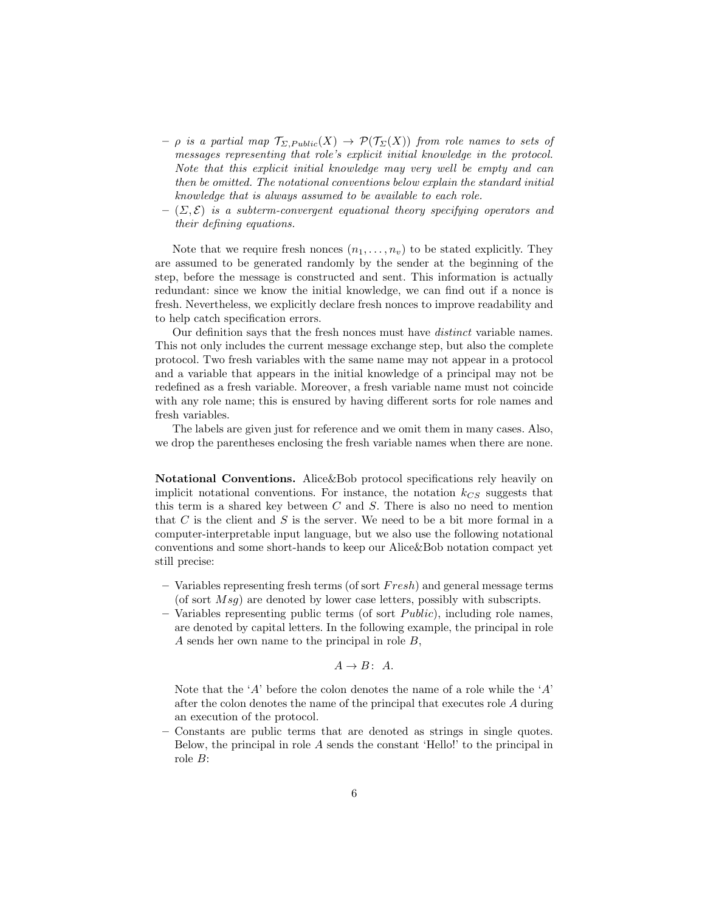- $-$  ρ is a partial map  $\mathcal{T}_{\Sigma,Public}(X) \rightarrow \mathcal{P}(\mathcal{T}_{\Sigma}(X))$  from role names to sets of messages representing that role's explicit initial knowledge in the protocol. Note that this explicit initial knowledge may very well be empty and can then be omitted. The notational conventions below explain the standard initial knowledge that is always assumed to be available to each role.
- $(\Sigma, \mathcal{E})$  is a subterm-convergent equational theory specifying operators and their defining equations.

Note that we require fresh nonces  $(n_1, \ldots, n_v)$  to be stated explicitly. They are assumed to be generated randomly by the sender at the beginning of the step, before the message is constructed and sent. This information is actually redundant: since we know the initial knowledge, we can find out if a nonce is fresh. Nevertheless, we explicitly declare fresh nonces to improve readability and to help catch specification errors.

Our definition says that the fresh nonces must have distinct variable names. This not only includes the current message exchange step, but also the complete protocol. Two fresh variables with the same name may not appear in a protocol and a variable that appears in the initial knowledge of a principal may not be redefined as a fresh variable. Moreover, a fresh variable name must not coincide with any role name; this is ensured by having different sorts for role names and fresh variables.

The labels are given just for reference and we omit them in many cases. Also, we drop the parentheses enclosing the fresh variable names when there are none.

<span id="page-5-0"></span>Notational Conventions. Alice&Bob protocol specifications rely heavily on implicit notational conventions. For instance, the notation  $k_{CS}$  suggests that this term is a shared key between  $C$  and  $S$ . There is also no need to mention that  $C$  is the client and  $S$  is the server. We need to be a bit more formal in a computer-interpretable input language, but we also use the following notational conventions and some short-hands to keep our Alice&Bob notation compact yet still precise:

- $-$  Variables representing fresh terms (of sort  $Fresh$ ) and general message terms (of sort  $Msg$ ) are denoted by lower case letters, possibly with subscripts.
- $-$  Variables representing public terms (of sort *Public*), including role names, are denoted by capital letters. In the following example, the principal in role A sends her own name to the principal in role B,

$$
A \to B: A.
$$

Note that the 'A' before the colon denotes the name of a role while the 'A' after the colon denotes the name of the principal that executes role A during an execution of the protocol.

– Constants are public terms that are denoted as strings in single quotes. Below, the principal in role A sends the constant 'Hello!' to the principal in role B: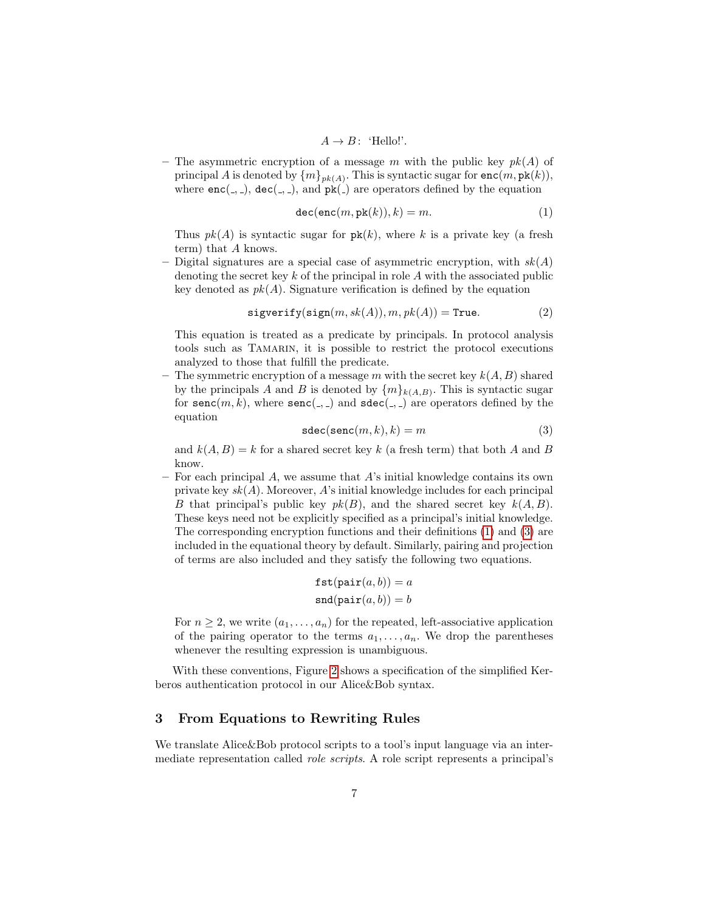$A \rightarrow B$ : 'Hello!'.

– The asymmetric encryption of a message m with the public key  $pk(A)$  of principal A is denoted by  $\{m\}_{pk(A)}$ . This is syntactic sugar for  $enc(m, pk(k)),$ where  $enc(\_ ,\_ )$ ,  $dec(\_ ,\_ )$ , and  $pk(\_ )$  are operators defined by the equation

<span id="page-6-1"></span>
$$
\text{dec}(\text{enc}(m, \text{pk}(k)), k) = m. \tag{1}
$$

Thus  $pk(A)$  is syntactic sugar for  $pk(k)$ , where k is a private key (a fresh term) that A knows.

– Digital signatures are a special case of asymmetric encryption, with  $sk(A)$ denoting the secret key k of the principal in role  $\tilde{A}$  with the associated public key denoted as  $pk(A)$ . Signature verification is defined by the equation

$$
sigverify(sign(m, sk(A)), m, pk(A)) = True.
$$
\n(2)

This equation is treated as a predicate by principals. In protocol analysis tools such as Tamarin, it is possible to restrict the protocol executions analyzed to those that fulfill the predicate.

– The symmetric encryption of a message m with the secret key  $k(A, B)$  shared by the principals A and B is denoted by  $\{m\}_{k(A,B)}$ . This is syntactic sugar for  $\texttt{senc}(m, k)$ , where  $\texttt{senc}(.,.)$  and  $\texttt{sdec}(.,.)$  are operators defined by the equation

<span id="page-6-2"></span>
$$
\text{sdec}(\texttt{senc}(m,k),k) = m \tag{3}
$$

and  $k(A, B) = k$  for a shared secret key k (a fresh term) that both A and B know.

– For each principal A, we assume that A's initial knowledge contains its own private key  $sk(A)$ . Moreover, A's initial knowledge includes for each principal B that principal's public key  $pk(B)$ , and the shared secret key  $k(A, B)$ . These keys need not be explicitly specified as a principal's initial knowledge. The corresponding encryption functions and their definitions [\(1\)](#page-6-1) and [\(3\)](#page-6-2) are included in the equational theory by default. Similarly, pairing and projection of terms are also included and they satisfy the following two equations.

$$
\mathtt{fst}(\mathtt{pair}(a,b)) = a \\ \mathtt{snd}(\mathtt{pair}(a,b)) = b
$$

For  $n \geq 2$ , we write  $(a_1, \ldots, a_n)$  for the repeated, left-associative application of the pairing operator to the terms  $a_1, \ldots, a_n$ . We drop the parentheses whenever the resulting expression is unambiguous.

With these conventions, Figure [2](#page-7-0) shows a specification of the simplified Kerberos authentication protocol in our Alice&Bob syntax.

# <span id="page-6-0"></span>3 From Equations to Rewriting Rules

We translate Alice&Bob protocol scripts to a tool's input language via an intermediate representation called role scripts. A role script represents a principal's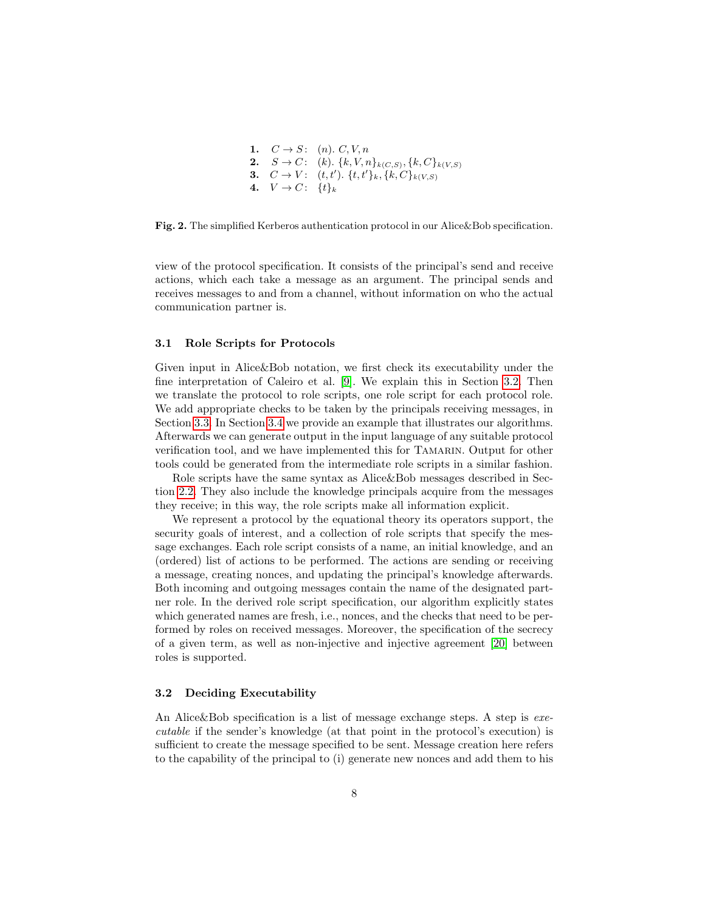1.  $C \rightarrow S$ : (n), C, V, n 2.  $S \to C$ : (k). { $k, V, n$ }<sub> $k(C, S)$ </sub>, { $k, C$ }<sub> $k(V, S)$ </sub> **3.**  $C \to V$ :  $(t, t')$ .  $\{t, t'\}_k$ ,  $\{k, C\}_{k(V, S)}$ 4.  $V \to C: \{t\}_k$ 

<span id="page-7-0"></span>Fig. 2. The simplified Kerberos authentication protocol in our Alice&Bob specification.

view of the protocol specification. It consists of the principal's send and receive actions, which each take a message as an argument. The principal sends and receives messages to and from a channel, without information on who the actual communication partner is.

#### 3.1 Role Scripts for Protocols

Given input in Alice&Bob notation, we first check its executability under the fine interpretation of Caleiro et al. [\[9\]](#page-19-6). We explain this in Section [3.2.](#page-7-1) Then we translate the protocol to role scripts, one role script for each protocol role. We add appropriate checks to be taken by the principals receiving messages, in Section [3.3.](#page-10-0) In Section [3.4](#page-13-0) we provide an example that illustrates our algorithms. Afterwards we can generate output in the input language of any suitable protocol verification tool, and we have implemented this for TAMARIN. Output for other tools could be generated from the intermediate role scripts in a similar fashion.

Role scripts have the same syntax as Alice&Bob messages described in Section [2.2.](#page-3-0) They also include the knowledge principals acquire from the messages they receive; in this way, the role scripts make all information explicit.

We represent a protocol by the equational theory its operators support, the security goals of interest, and a collection of role scripts that specify the message exchanges. Each role script consists of a name, an initial knowledge, and an (ordered) list of actions to be performed. The actions are sending or receiving a message, creating nonces, and updating the principal's knowledge afterwards. Both incoming and outgoing messages contain the name of the designated partner role. In the derived role script specification, our algorithm explicitly states which generated names are fresh, i.e., nonces, and the checks that need to be performed by roles on received messages. Moreover, the specification of the secrecy of a given term, as well as non-injective and injective agreement [\[20\]](#page-20-10) between roles is supported.

# <span id="page-7-1"></span>3.2 Deciding Executability

An Alice&Bob specification is a list of message exchange steps. A step is executable if the sender's knowledge (at that point in the protocol's execution) is sufficient to create the message specified to be sent. Message creation here refers to the capability of the principal to (i) generate new nonces and add them to his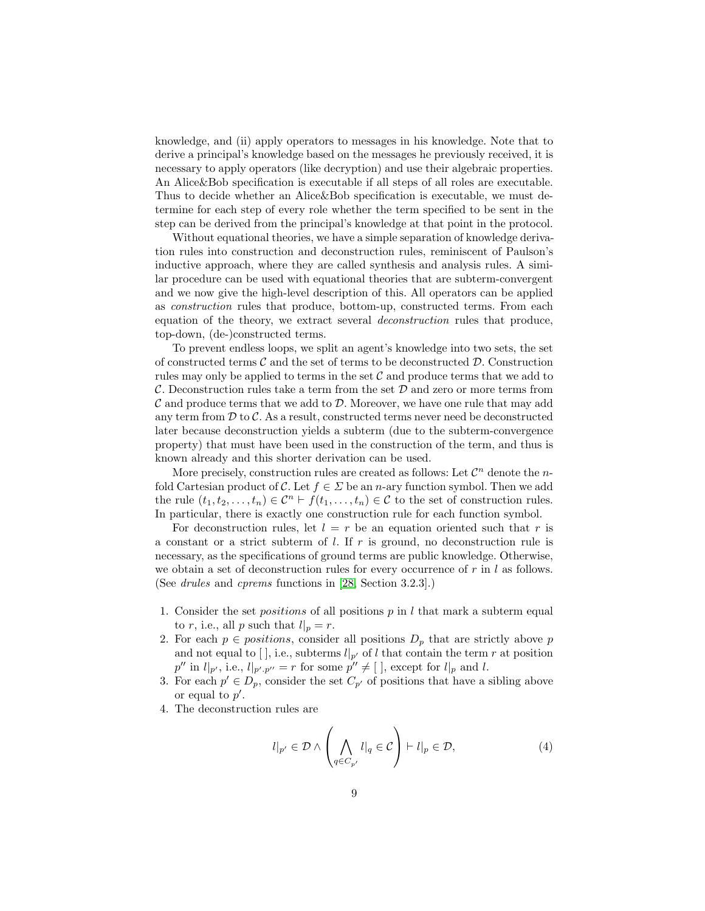knowledge, and (ii) apply operators to messages in his knowledge. Note that to derive a principal's knowledge based on the messages he previously received, it is necessary to apply operators (like decryption) and use their algebraic properties. An Alice&Bob specification is executable if all steps of all roles are executable. Thus to decide whether an Alice&Bob specification is executable, we must determine for each step of every role whether the term specified to be sent in the step can be derived from the principal's knowledge at that point in the protocol.

Without equational theories, we have a simple separation of knowledge derivation rules into construction and deconstruction rules, reminiscent of Paulson's inductive approach, where they are called synthesis and analysis rules. A similar procedure can be used with equational theories that are subterm-convergent and we now give the high-level description of this. All operators can be applied as construction rules that produce, bottom-up, constructed terms. From each equation of the theory, we extract several deconstruction rules that produce, top-down, (de-)constructed terms.

To prevent endless loops, we split an agent's knowledge into two sets, the set of constructed terms  $\mathcal C$  and the set of terms to be deconstructed  $\mathcal D$ . Construction rules may only be applied to terms in the set  $\mathcal C$  and produce terms that we add to  $\mathcal C$ . Deconstruction rules take a term from the set  $\mathcal D$  and zero or more terms from  $\mathcal C$  and produce terms that we add to  $\mathcal D$ . Moreover, we have one rule that may add any term from  $\mathcal D$  to  $\mathcal C$ . As a result, constructed terms never need be deconstructed later because deconstruction yields a subterm (due to the subterm-convergence property) that must have been used in the construction of the term, and thus is known already and this shorter derivation can be used.

More precisely, construction rules are created as follows: Let  $\mathcal{C}^n$  denote the *n*fold Cartesian product of C. Let  $f \in \Sigma$  be an n-ary function symbol. Then we add the rule  $(t_1, t_2, \ldots, t_n) \in C^n \vdash f(t_1, \ldots, t_n) \in C$  to the set of construction rules. In particular, there is exactly one construction rule for each function symbol.

For deconstruction rules, let  $l = r$  be an equation oriented such that r is a constant or a strict subterm of  $l$ . If  $r$  is ground, no deconstruction rule is necessary, as the specifications of ground terms are public knowledge. Otherwise, we obtain a set of deconstruction rules for every occurrence of  $r$  in  $l$  as follows. (See drules and cprems functions in [\[28,](#page-20-11) Section 3.2.3].)

- 1. Consider the set *positions* of all positions  $p$  in l that mark a subterm equal to r, i.e., all p such that  $l|_p = r$ .
- <span id="page-8-0"></span>2. For each  $p \in positions$ , consider all positions  $D_p$  that are strictly above p and not equal to  $[$   $],$  i.e., subterms  $l|_{p'}$  of l that contain the term r at position  $p''$  in  $l|_{p'}$ , i.e.,  $l|_{p',p''}=r$  for some  $p'' \neq [\ ]$ , except for  $l|_p$  and l.
- 3. For each  $p' \in D_p$ , consider the set  $C_{p'}$  of positions that have a sibling above or equal to  $p'$ .
- 4. The deconstruction rules are

<span id="page-8-1"></span>
$$
l|_{p'} \in \mathcal{D} \wedge \left(\bigwedge_{q \in C_{p'}} l|_q \in \mathcal{C}\right) \vdash l|_p \in \mathcal{D},\tag{4}
$$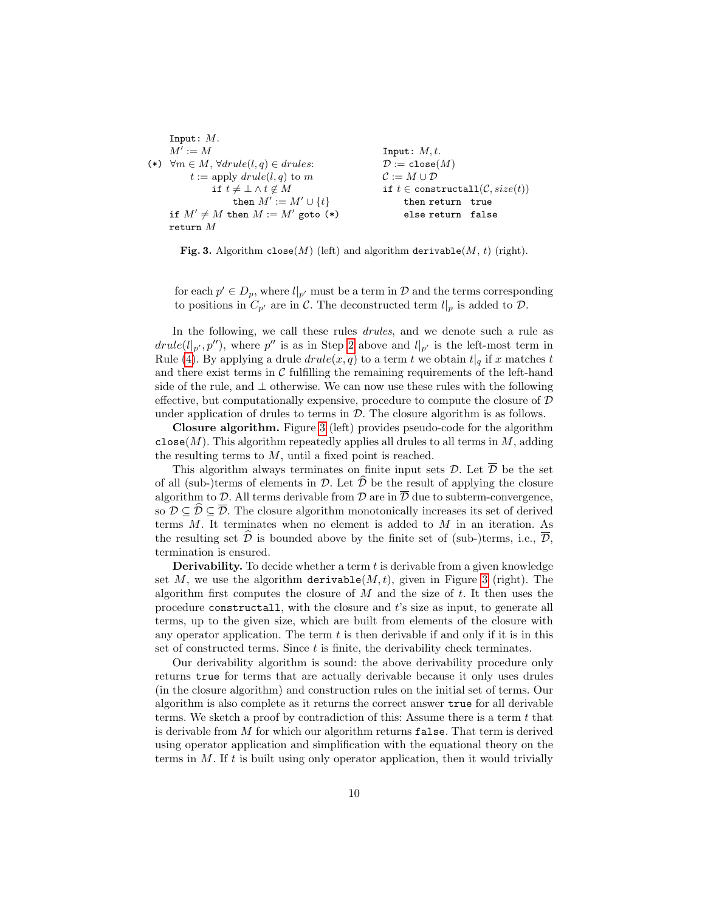Input: M.  $M' := M$ (\*)  $\forall m \in M$ ,  $\forall drule(l, q) \in drules$ :  $t :=$  apply  $drule(l, q)$  to m if  $t \neq \bot \wedge t \notin M$ then  $M':=M'\cup \{t\}$ if  $M' \neq M$  then  $M := M'$  goto  $(*)$ return  $M$ Input:  $M, t$ .  $\mathcal{D} := \texttt{close}(M)$  $\mathcal{C} := M \cup \mathcal{D}$ if  $t \in$  constructall $(C, size(t))$ then return true else return false

<span id="page-9-0"></span>Fig. 3. Algorithm close(M) (left) and algorithm derivable(M, t) (right).

for each  $p' \in D_p$ , where  $l|_{p'}$  must be a term in  $\mathcal{D}$  and the terms corresponding to positions in  $C_{p'}$  are in C. The deconstructed term  $l|_p$  is added to D.

In the following, we call these rules drules, and we denote such a rule as  $drule(l<sub>|p'</sub>, p'')$ , where p'' is as in Step [2](#page-8-0) above and  $l<sub>|p'</sub>$  is the left-most term in Rule [\(4\)](#page-8-1). By applying a drule  $drule(x, q)$  to a term t we obtain  $t|_q$  if x matches t and there exist terms in  $\mathcal C$  fulfilling the remaining requirements of the left-hand side of the rule, and  $\perp$  otherwise. We can now use these rules with the following effective, but computationally expensive, procedure to compute the closure of  $\mathcal D$ under application of drules to terms in  $D$ . The closure algorithm is as follows.

Closure algorithm. Figure [3](#page-9-0) (left) provides pseudo-code for the algorithm  $\texttt{close}(M)$ . This algorithm repeatedly applies all drules to all terms in M, adding the resulting terms to  $M$ , until a fixed point is reached.

This algorithm always terminates on finite input sets  $\mathcal{D}$ . Let  $\overline{\mathcal{D}}$  be the set of all (sub-)terms of elements in  $\mathcal D$ . Let  $\mathcal D$  be the result of applying the closure algorithm to D. All terms derivable from D are in  $\overline{\mathcal{D}}$  due to subterm-convergence, so  $\mathcal{D} \subseteq \overline{\mathcal{D}}$ . The closure algorithm monotonically increases its set of derived terms M. It terminates when no element is added to M in an iteration. As the resulting set  $\hat{\mathcal{D}}$  is bounded above by the finite set of (sub-)terms, i.e.,  $\overline{\mathcal{D}}$ , termination is ensured.

Derivability. To decide whether a term t is derivable from a given knowledge set M, we use the algorithm derivable  $(M, t)$ , given in Figure [3](#page-9-0) (right). The algorithm first computes the closure of  $M$  and the size of  $t$ . It then uses the procedure constructall, with the closure and t's size as input, to generate all terms, up to the given size, which are built from elements of the closure with any operator application. The term  $t$  is then derivable if and only if it is in this set of constructed terms. Since  $t$  is finite, the derivability check terminates.

Our derivability algorithm is sound: the above derivability procedure only returns true for terms that are actually derivable because it only uses drules (in the closure algorithm) and construction rules on the initial set of terms. Our algorithm is also complete as it returns the correct answer true for all derivable terms. We sketch a proof by contradiction of this: Assume there is a term  $t$  that is derivable from M for which our algorithm returns false. That term is derived using operator application and simplification with the equational theory on the terms in  $M$ . If t is built using only operator application, then it would trivially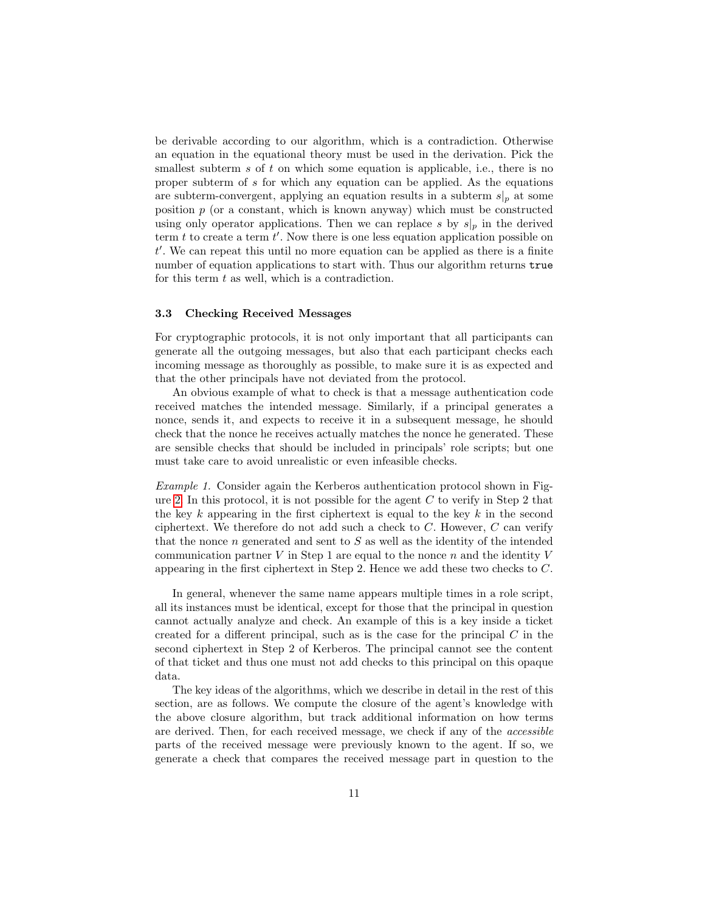be derivable according to our algorithm, which is a contradiction. Otherwise an equation in the equational theory must be used in the derivation. Pick the smallest subterm  $s$  of  $t$  on which some equation is applicable, i.e., there is no proper subterm of s for which any equation can be applied. As the equations are subterm-convergent, applying an equation results in a subterm  $s|_p$  at some position  $p$  (or a constant, which is known anyway) which must be constructed using only operator applications. Then we can replace s by  $s|_p$  in the derived term  $t$  to create a term  $t'$ . Now there is one less equation application possible on  $t'$ . We can repeat this until no more equation can be applied as there is a finite number of equation applications to start with. Thus our algorithm returns true for this term  $t$  as well, which is a contradiction.

## <span id="page-10-0"></span>3.3 Checking Received Messages

For cryptographic protocols, it is not only important that all participants can generate all the outgoing messages, but also that each participant checks each incoming message as thoroughly as possible, to make sure it is as expected and that the other principals have not deviated from the protocol.

An obvious example of what to check is that a message authentication code received matches the intended message. Similarly, if a principal generates a nonce, sends it, and expects to receive it in a subsequent message, he should check that the nonce he receives actually matches the nonce he generated. These are sensible checks that should be included in principals' role scripts; but one must take care to avoid unrealistic or even infeasible checks.

<span id="page-10-1"></span>Example 1. Consider again the Kerberos authentication protocol shown in Fig-ure [2.](#page-7-0) In this protocol, it is not possible for the agent  $C$  to verify in Step 2 that the key  $k$  appearing in the first ciphertext is equal to the key  $k$  in the second ciphertext. We therefore do not add such a check to  $C$ . However,  $C$  can verify that the nonce  $n$  generated and sent to  $S$  as well as the identity of the intended communication partner V in Step 1 are equal to the nonce  $n$  and the identity V appearing in the first ciphertext in Step 2. Hence we add these two checks to C.

In general, whenever the same name appears multiple times in a role script, all its instances must be identical, except for those that the principal in question cannot actually analyze and check. An example of this is a key inside a ticket created for a different principal, such as is the case for the principal  $C$  in the second ciphertext in Step 2 of Kerberos. The principal cannot see the content of that ticket and thus one must not add checks to this principal on this opaque data.

The key ideas of the algorithms, which we describe in detail in the rest of this section, are as follows. We compute the closure of the agent's knowledge with the above closure algorithm, but track additional information on how terms are derived. Then, for each received message, we check if any of the accessible parts of the received message were previously known to the agent. If so, we generate a check that compares the received message part in question to the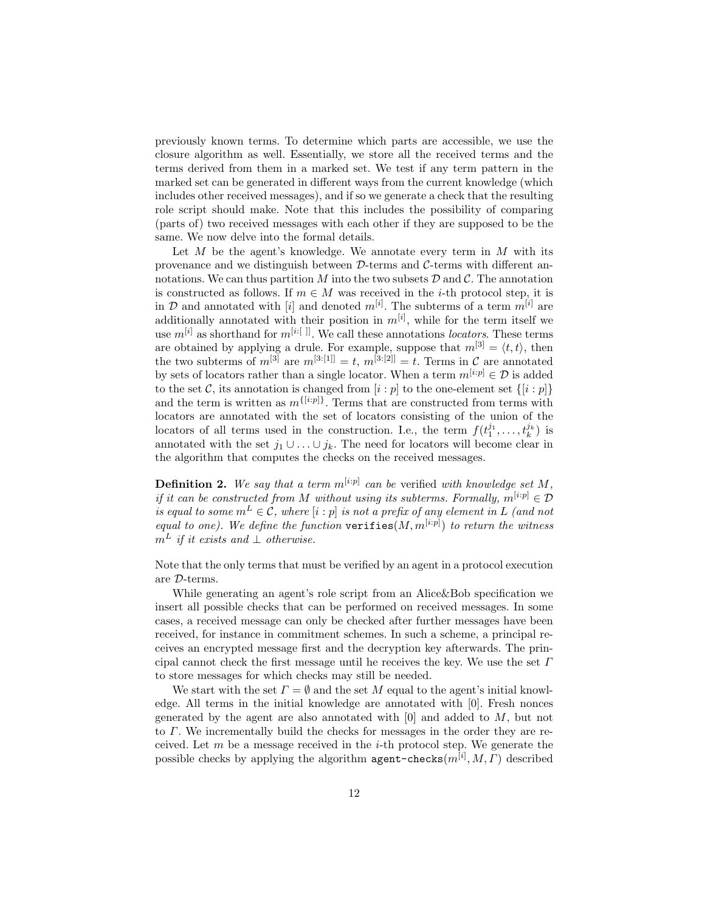previously known terms. To determine which parts are accessible, we use the closure algorithm as well. Essentially, we store all the received terms and the terms derived from them in a marked set. We test if any term pattern in the marked set can be generated in different ways from the current knowledge (which includes other received messages), and if so we generate a check that the resulting role script should make. Note that this includes the possibility of comparing (parts of) two received messages with each other if they are supposed to be the same. We now delve into the formal details.

Let  $M$  be the agent's knowledge. We annotate every term in  $M$  with its provenance and we distinguish between  $D$ -terms and  $C$ -terms with different annotations. We can thus partition M into the two subsets  $\mathcal D$  and  $\mathcal C$ . The annotation is constructed as follows. If  $m \in M$  was received in the *i*-th protocol step, it is in  $\mathcal D$  and annotated with [i] and denoted  $m^{[i]}$ . The subterms of a term  $m^{[i]}$  are additionally annotated with their position in  $m^{[i]}$ , while for the term itself we use  $m^{[i]}$  as shorthand for  $m^{[i]}$ . We call these annotations *locators*. These terms are obtained by applying a drule. For example, suppose that  $m^{[3]} = \langle t, t \rangle$ , then the two subterms of  $m^{[3]}$  are  $m^{[3:[1]]} = t$ ,  $m^{[3:[2]]} = t$ . Terms in C are annotated by sets of locators rather than a single locator. When a term  $m^{[i:p]} \in \mathcal{D}$  is added to the set C, its annotation is changed from  $[i : p]$  to the one-element set  $\{[i : p]\}$ and the term is written as  $m^{\{\{i:p\}}\}$ . Terms that are constructed from terms with locators are annotated with the set of locators consisting of the union of the locators of all terms used in the construction. I.e., the term  $f(t_1^{j_1},...,t_k^{j_k})$  is annotated with the set  $j_1 \cup \ldots \cup j_k$ . The need for locators will become clear in the algorithm that computes the checks on the received messages.

<span id="page-11-0"></span>**Definition 2.** We say that a term  $m^{[i:p]}$  can be verified with knowledge set M, if it can be constructed from M without using its subterms. Formally,  $m^{[i:p]} \in \mathcal{D}$ is equal to some  $m^L \in \mathcal{C}$ , where  $[i : p]$  is not a prefix of any element in L (and not equal to one). We define the function verifies  $(M, m^{[i:p]})$  to return the witness  $m<sup>L</sup>$  if it exists and  $\perp$  otherwise.

Note that the only terms that must be verified by an agent in a protocol execution are D-terms.

While generating an agent's role script from an Alice&Bob specification we insert all possible checks that can be performed on received messages. In some cases, a received message can only be checked after further messages have been received, for instance in commitment schemes. In such a scheme, a principal receives an encrypted message first and the decryption key afterwards. The principal cannot check the first message until he receives the key. We use the set  $\Gamma$ to store messages for which checks may still be needed.

We start with the set  $\Gamma = \emptyset$  and the set M equal to the agent's initial knowledge. All terms in the initial knowledge are annotated with [0]. Fresh nonces generated by the agent are also annotated with  $[0]$  and added to  $M$ , but not to Γ. We incrementally build the checks for messages in the order they are received. Let  $m$  be a message received in the  $i$ -th protocol step. We generate the possible checks by applying the algorithm  $\texttt{agent-checks}(m^{[i]},M,\varGamma)$  described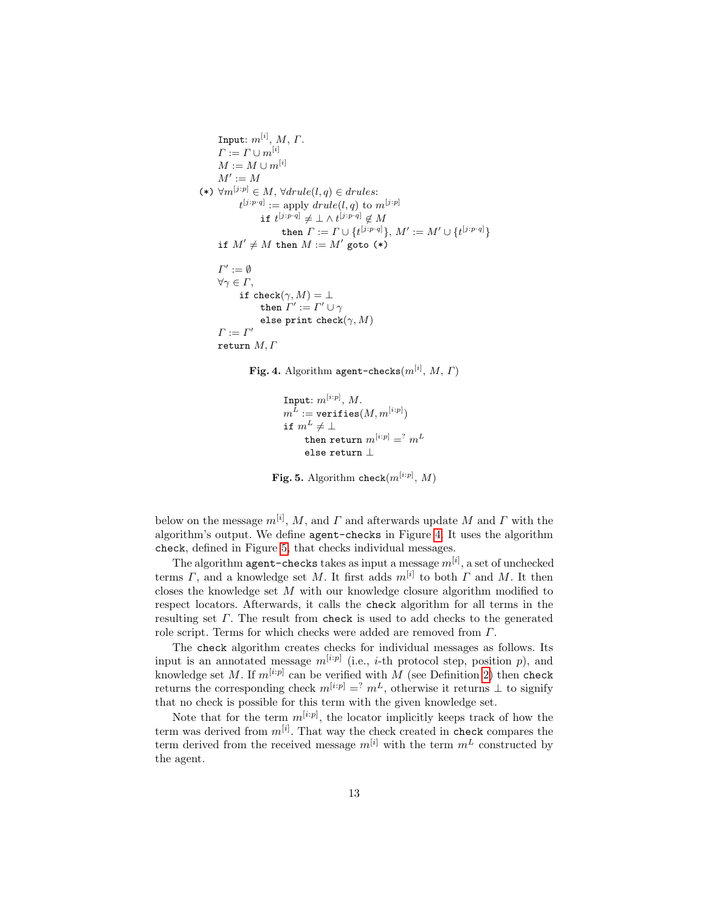Input:  $m^{[i]}, M, \Gamma$ .  $\Gamma := \Gamma \cup m^{[i]}$  $M:=M\cup m^{[i]}$  $M' := M$ (\*)  $\forall m^{[j:p]} \in M$ ,  $\forall drule(l,q) \in drules$ :  $t^{[j:p\cdot q]} := \text{apply } drule(l,q) \text{ to } m^{[j:p]}$ if  $t^{[j:p\cdot q]}\neq \bot \wedge t^{[j:p\cdot q]}\not\in M$ then  $\varGamma := \varGamma \cup \{t^{[j:p\cdot q]}\}, \varLambda' := \varLambda' \cup \{t^{[j:p\cdot q]}\}$ if  $M' \neq M$  then  $M := M'$  goto  $(*)$  $\Gamma' := \emptyset$  $\forall \gamma \in \Gamma$ , if check $(\gamma, M) = \bot$ then  $\varGamma':=\varGamma'\cup\gamma$ else print check $(\gamma, M)$  $\Gamma := \Gamma'$ return  $M, \Gamma$ 

**Fig. 4.** Algorithm  $\texttt{agent-checks}(m^{[i]},\,M,\,\Gamma)$ 

```
Input: m^{[i:p]}, M.
m^L := \mathtt{verifies}(M, m^{[i:p]})if m^L\neq \botthen return m^{[i:p]} = ? \; m^Lelse return ⊥
```
<span id="page-12-1"></span> $\mathbf{Fig. 5.~Algorithm~ check}(m^{[i:p]},\,M)$ 

below on the message  $m^{[i]}$ , M, and  $\Gamma$  and afterwards update M and  $\Gamma$  with the algorithm's output. We define agent-checks in Figure [4.](#page-12-0) It uses the algorithm check, defined in Figure [5,](#page-12-1) that checks individual messages.

The algorithm  $\mathsf{agent{\text{-}checks}}$  takes as input a message  $m^{[i]},$  a set of unchecked terms  $\Gamma$ , and a knowledge set M. It first adds  $m^{[i]}$  to both  $\Gamma$  and M. It then closes the knowledge set M with our knowledge closure algorithm modified to respect locators. Afterwards, it calls the check algorithm for all terms in the resulting set Γ. The result from check is used to add checks to the generated role script. Terms for which checks were added are removed from Γ.

The check algorithm creates checks for individual messages as follows. Its input is an annotated message  $m^{[i:p]}$  (i.e., *i*-th protocol step, position p), and knowledge set M. If  $m^{[i:p]}$  can be verified with M (see Definition [2\)](#page-11-0) then check returns the corresponding check  $m^{[i:p]} = m^L$ , otherwise it returns  $\perp$  to signify that no check is possible for this term with the given knowledge set.

Note that for the term  $m^{[i:p]}$ , the locator implicitly keeps track of how the term was derived from  $m^{[i]}$ . That way the check created in check compares the term derived from the received message  $m^{[i]}$  with the term  $m^L$  constructed by the agent.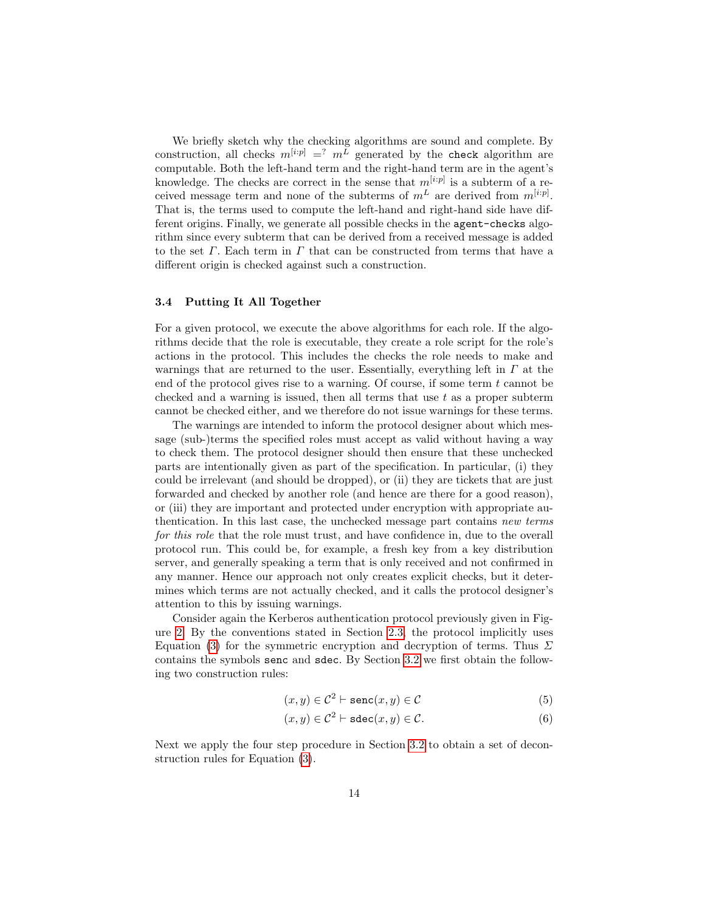We briefly sketch why the checking algorithms are sound and complete. By construction, all checks  $m^{[i:p]} = m^L$  generated by the check algorithm are computable. Both the left-hand term and the right-hand term are in the agent's knowledge. The checks are correct in the sense that  $m^{[i:p]}$  is a subterm of a received message term and none of the subterms of  $m<sup>L</sup>$  are derived from  $m<sup>[i:p]</sup>$ . That is, the terms used to compute the left-hand and right-hand side have different origins. Finally, we generate all possible checks in the agent-checks algorithm since every subterm that can be derived from a received message is added to the set  $\Gamma$ . Each term in  $\Gamma$  that can be constructed from terms that have a different origin is checked against such a construction.

## <span id="page-13-0"></span>3.4 Putting It All Together

For a given protocol, we execute the above algorithms for each role. If the algorithms decide that the role is executable, they create a role script for the role's actions in the protocol. This includes the checks the role needs to make and warnings that are returned to the user. Essentially, everything left in  $\Gamma$  at the end of the protocol gives rise to a warning. Of course, if some term  $t$  cannot be checked and a warning is issued, then all terms that use  $t$  as a proper subterm cannot be checked either, and we therefore do not issue warnings for these terms.

The warnings are intended to inform the protocol designer about which message (sub-)terms the specified roles must accept as valid without having a way to check them. The protocol designer should then ensure that these unchecked parts are intentionally given as part of the specification. In particular, (i) they could be irrelevant (and should be dropped), or (ii) they are tickets that are just forwarded and checked by another role (and hence are there for a good reason), or (iii) they are important and protected under encryption with appropriate authentication. In this last case, the unchecked message part contains new terms for this role that the role must trust, and have confidence in, due to the overall protocol run. This could be, for example, a fresh key from a key distribution server, and generally speaking a term that is only received and not confirmed in any manner. Hence our approach not only creates explicit checks, but it determines which terms are not actually checked, and it calls the protocol designer's attention to this by issuing warnings.

Consider again the Kerberos authentication protocol previously given in Figure [2.](#page-7-0) By the conventions stated in Section [2.3,](#page-5-0) the protocol implicitly uses Equation [\(3\)](#page-6-2) for the symmetric encryption and decryption of terms. Thus  $\Sigma$ contains the symbols senc and sdec. By Section [3.2](#page-7-1) we first obtain the following two construction rules:

$$
(x, y) \in \mathcal{C}^2 \vdash \mathtt{senc}(x, y) \in \mathcal{C}
$$
\n<sup>(5)</sup>

$$
(x, y) \in \mathcal{C}^2 \vdash \text{sdec}(x, y) \in \mathcal{C}.\tag{6}
$$

Next we apply the four step procedure in Section [3.2](#page-7-1) to obtain a set of deconstruction rules for Equation [\(3\)](#page-6-2).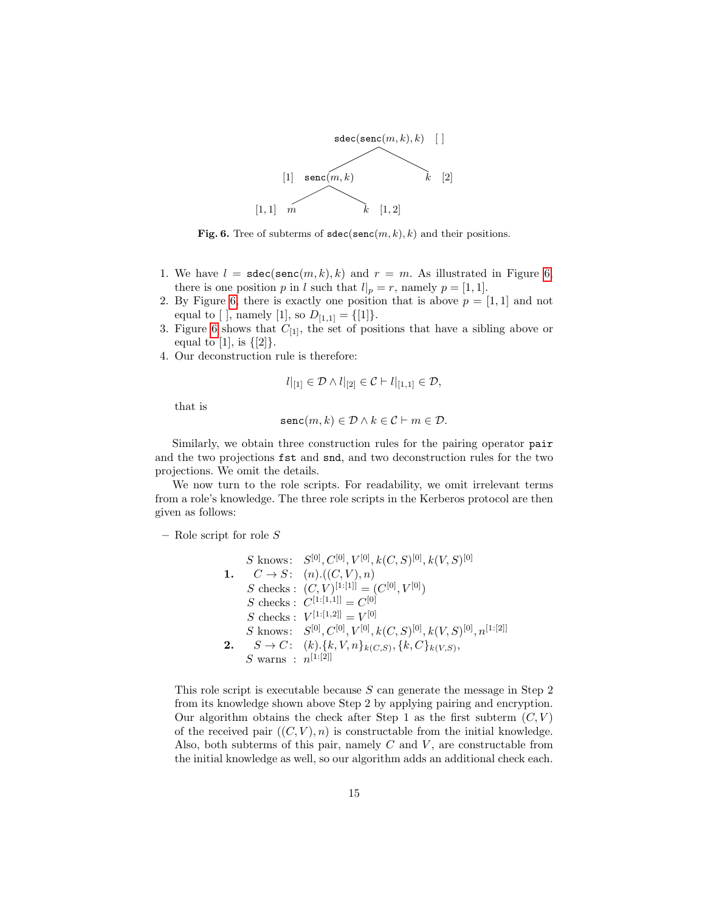

<span id="page-14-0"></span>Fig. 6. Tree of subterms of  $\texttt{sdec}(\texttt{senc}(m, k), k)$  and their positions.

- 1. We have  $l = \text{sdec}(\text{senc}(m, k), k)$  and  $r = m$ . As illustrated in Figure [6,](#page-14-0) there is one position p in l such that  $l|_p = r$ , namely  $p = [1, 1]$ .
- 2. By Figure [6,](#page-14-0) there is exactly one position that is above  $p = \begin{bmatrix} 1 \\ 1 \end{bmatrix}$  and not equal to [ ], namely [1], so  $D_{[1,1]} = \{ [1] \}.$
- 3. Figure [6](#page-14-0) shows that  $C_{[1]}$ , the set of positions that have a sibling above or equal to [1], is  $\{2\}$ .
- 4. Our deconstruction rule is therefore:

$$
l|_{[1]} \in \mathcal{D} \wedge l|_{[2]} \in \mathcal{C} \vdash l|_{[1,1]} \in \mathcal{D},
$$

that is

$$
\mathtt{senc}(m,k) \in \mathcal{D} \land k \in \mathcal{C} \vdash m \in \mathcal{D}.
$$

Similarly, we obtain three construction rules for the pairing operator pair and the two projections fst and snd, and two deconstruction rules for the two projections. We omit the details.

We now turn to the role scripts. For readability, we omit irrelevant terms from a role's knowledge. The three role scripts in the Kerberos protocol are then given as follows:

– Role script for role  $S$ 

S knows: 
$$
S^{[0]}, C^{[0]}, V^{[0]}, k(C, S)^{[0]}, k(V, S)^{[0]}
$$
  
\n**1.**  $C \rightarrow S$ :  $(n).((C, V), n)$   
\nS checks:  $(C, V)^{[1:[1]]} = (C^{[0]}, V^{[0]})$   
\nS checks:  $C^{[1:[1,1]]} = C^{[0]}$   
\nS checks:  $V^{[1:[1,2]]} = V^{[0]}$   
\nS knows:  $S^{[0]}, C^{[0]}, V^{[0]}, k(C, S)^{[0]}, k(V, S)^{[0]}, n^{[1:[2]]}$   
\n**2.**  $S \rightarrow C$ :  $(k). \{k, V, n\}_{k(C, S)}, \{k, C\}_{k(V, S)},$   
\nS warns:  $n^{[1:[2]]}$ 

This role script is executable because  $S$  can generate the message in Step 2 from its knowledge shown above Step 2 by applying pairing and encryption. Our algorithm obtains the check after Step 1 as the first subterm  $(C, V)$ of the received pair  $((C, V), n)$  is constructable from the initial knowledge. Also, both subterms of this pair, namely  $C$  and  $V$ , are constructable from the initial knowledge as well, so our algorithm adds an additional check each.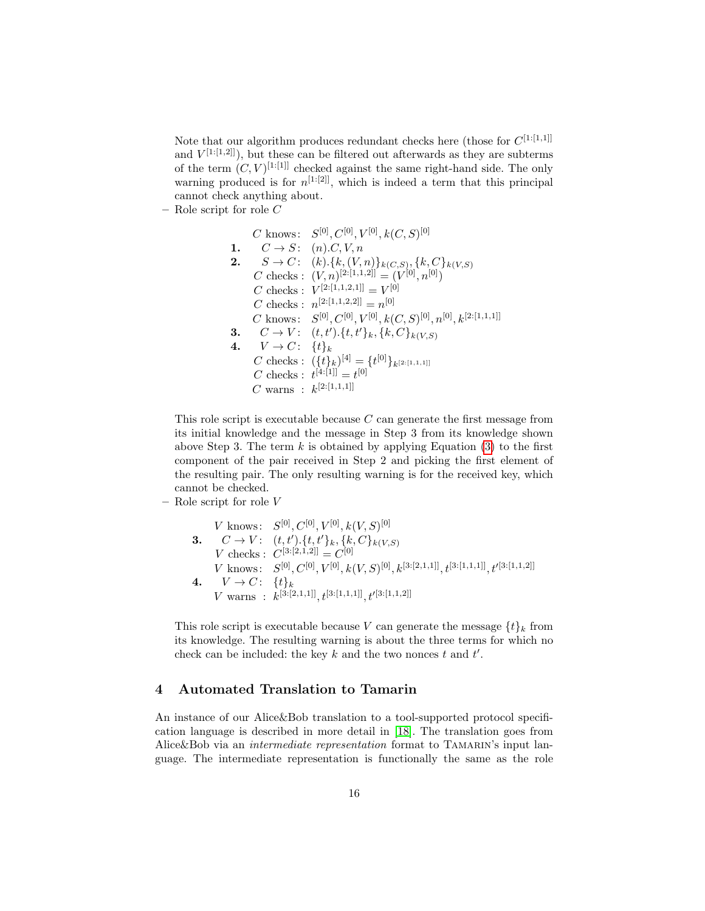Note that our algorithm produces redundant checks here (those for  $C^{[1:[1,1]]}$ and  $V^{[1:[1,2]]}$ , but these can be filtered out afterwards as they are subterms of the term  $(C, V)^{[1:[1]]}$  checked against the same right-hand side. The only warning produced is for  $n^{[1:[2]]}$ , which is indeed a term that this principal cannot check anything about.

 $-$  Role script for role  $C$ 

C knows: 
$$
S^{[0]}, C^{[0]}, V^{[0]}, k(C, S)^{[0]}
$$
  
\n1.  $C \rightarrow S$ :  $(n).C, V, n$   
\n2.  $S \rightarrow C$ :  $(k).{k, (V, n)}_{k(C, S)}, {k, C}_{k(V, S)}$   
\nC checks:  $(V, n)^{[2:[1,1,2]]} = (V^{[0]}, n^{[0]})$   
\nC checks:  $V^{[2:[1,1,2,1]]} = V^{[0]}$   
\nC checks:  $n^{[2:[1,1,2,2]]} = n^{[0]}$   
\nC knows:  $S^{[0]}, C^{[0]}, V^{[0]}, k(C, S)^{[0]}, n^{[0]}, k^{[2:[1,1,1]]}$   
\n3.  $C \rightarrow V$ :  $(t, t').{t, t'}_k, {k, C}_{k(V,S)}$   
\n4.  $V \rightarrow C$ :  ${t \atop t}$   
\nC checks:  ${t \atop t}^{[k]} = {t^{[0]}}_{k^{[2:[1,1,1]}}$   
\nC checks:  $t^{[4:[1]]} = t^{[0]}$   
\nC warns:  $k^{[2:[1,1,1]]}$ 

This role script is executable because  $C$  can generate the first message from its initial knowledge and the message in Step 3 from its knowledge shown above Step 3. The term  $k$  is obtained by applying Equation [\(3\)](#page-6-2) to the first component of the pair received in Step 2 and picking the first element of the resulting pair. The only resulting warning is for the received key, which cannot be checked.

– Role script for role V

V knows: 
$$
S^{[0]}, C^{[0]}, V^{[0]}, k(V, S)^{[0]}
$$
  
\n**3.**  $C \to V$ :  $(t, t')$ . $\{t, t'\}_k$ ,  $\{k, C\}_k(V, S)$   
\nV checks:  $C^{[3:[2,1,2]]} = C^{[0]}$   
\nV knows:  $S^{[0]}, C^{[0]}, V^{[0]}, k(V, S)^{[0]}, k^{[3:[2,1,1]]}, t^{[3:[1,1,1]]}, t'[3:[1,1,2]]$   
\n**4.**  $V \to C$ :  $\{t\}_k$   
\nV warns:  $k^{[3:[2,1,1]]}, t^{[3:[1,1,1]]}, t'[3:[1,1,2]]$ 

This role script is executable because V can generate the message  $\{t\}_k$  from its knowledge. The resulting warning is about the three terms for which no check can be included: the key  $k$  and the two nonces  $t$  and  $t'$ .

# <span id="page-15-0"></span>4 Automated Translation to Tamarin

An instance of our Alice&Bob translation to a tool-supported protocol specification language is described in more detail in [\[18\]](#page-20-6). The translation goes from Alice&Bob via an *intermediate representation* format to TAMARIN's input language. The intermediate representation is functionally the same as the role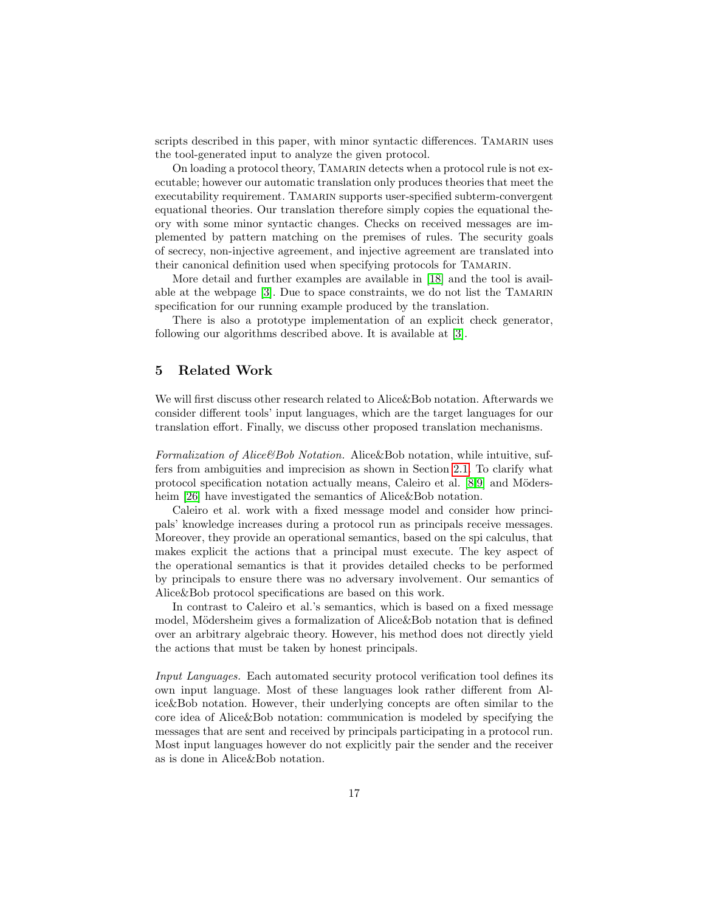scripts described in this paper, with minor syntactic differences. TAMARIN uses the tool-generated input to analyze the given protocol.

On loading a protocol theory, Tamarin detects when a protocol rule is not executable; however our automatic translation only produces theories that meet the executability requirement. TAMARIN supports user-specified subterm-convergent equational theories. Our translation therefore simply copies the equational theory with some minor syntactic changes. Checks on received messages are implemented by pattern matching on the premises of rules. The security goals of secrecy, non-injective agreement, and injective agreement are translated into their canonical definition used when specifying protocols for TAMARIN.

More detail and further examples are available in [\[18\]](#page-20-6) and the tool is available at the webpage [\[3\]](#page-19-9). Due to space constraints, we do not list the Tamarin specification for our running example produced by the translation.

There is also a prototype implementation of an explicit check generator, following our algorithms described above. It is available at [\[3\]](#page-19-9).

# <span id="page-16-0"></span>5 Related Work

We will first discuss other research related to Alice&Bob notation. Afterwards we consider different tools' input languages, which are the target languages for our translation effort. Finally, we discuss other proposed translation mechanisms.

Formalization of Alice&Bob Notation. Alice&Bob notation, while intuitive, suffers from ambiguities and imprecision as shown in Section [2.1.](#page-2-2) To clarify what protocol specification notation actually means, Caleiro et al.  $[8,9]$  $[8,9]$  and Möders-heim [\[26\]](#page-20-8) have investigated the semantics of Alice&Bob notation.

Caleiro et al. work with a fixed message model and consider how principals' knowledge increases during a protocol run as principals receive messages. Moreover, they provide an operational semantics, based on the spi calculus, that makes explicit the actions that a principal must execute. The key aspect of the operational semantics is that it provides detailed checks to be performed by principals to ensure there was no adversary involvement. Our semantics of Alice&Bob protocol specifications are based on this work.

In contrast to Caleiro et al.'s semantics, which is based on a fixed message model, Mödersheim gives a formalization of Alice&Bob notation that is defined over an arbitrary algebraic theory. However, his method does not directly yield the actions that must be taken by honest principals.

Input Languages. Each automated security protocol verification tool defines its own input language. Most of these languages look rather different from Alice&Bob notation. However, their underlying concepts are often similar to the core idea of Alice&Bob notation: communication is modeled by specifying the messages that are sent and received by principals participating in a protocol run. Most input languages however do not explicitly pair the sender and the receiver as is done in Alice&Bob notation.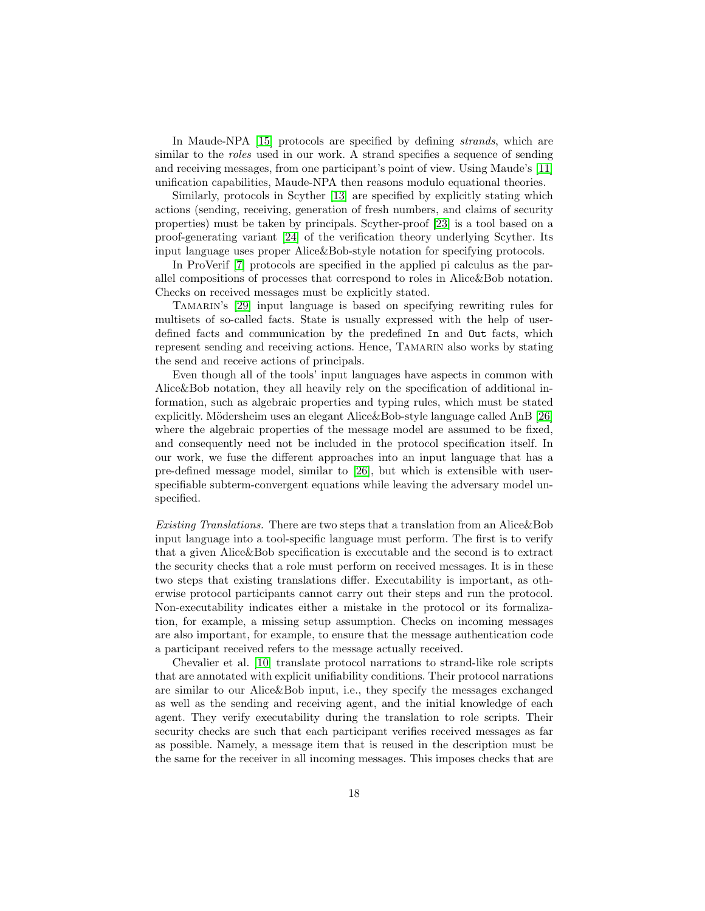In Maude-NPA [\[15\]](#page-20-1) protocols are specified by defining strands, which are similar to the *roles* used in our work. A strand specifies a sequence of sending and receiving messages, from one participant's point of view. Using Maude's [\[11\]](#page-19-7) unification capabilities, Maude-NPA then reasons modulo equational theories.

Similarly, protocols in Scyther [\[13\]](#page-19-2) are specified by explicitly stating which actions (sending, receiving, generation of fresh numbers, and claims of security properties) must be taken by principals. Scyther-proof [\[23\]](#page-20-12) is a tool based on a proof-generating variant [\[24\]](#page-20-13) of the verification theory underlying Scyther. Its input language uses proper Alice&Bob-style notation for specifying protocols.

In ProVerif [\[7\]](#page-19-11) protocols are specified in the applied pi calculus as the parallel compositions of processes that correspond to roles in Alice&Bob notation. Checks on received messages must be explicitly stated.

Tamarin's [\[29\]](#page-20-3) input language is based on specifying rewriting rules for multisets of so-called facts. State is usually expressed with the help of userdefined facts and communication by the predefined In and Out facts, which represent sending and receiving actions. Hence, Tamarin also works by stating the send and receive actions of principals.

Even though all of the tools' input languages have aspects in common with Alice&Bob notation, they all heavily rely on the specification of additional information, such as algebraic properties and typing rules, which must be stated explicitly. Mödersheim uses an elegant Alice&Bob-style language called AnB  $[26]$ where the algebraic properties of the message model are assumed to be fixed, and consequently need not be included in the protocol specification itself. In our work, we fuse the different approaches into an input language that has a pre-defined message model, similar to [\[26\]](#page-20-8), but which is extensible with userspecifiable subterm-convergent equations while leaving the adversary model unspecified.

Existing Translations. There are two steps that a translation from an Alice&Bob input language into a tool-specific language must perform. The first is to verify that a given Alice&Bob specification is executable and the second is to extract the security checks that a role must perform on received messages. It is in these two steps that existing translations differ. Executability is important, as otherwise protocol participants cannot carry out their steps and run the protocol. Non-executability indicates either a mistake in the protocol or its formalization, for example, a missing setup assumption. Checks on incoming messages are also important, for example, to ensure that the message authentication code a participant received refers to the message actually received.

Chevalier et al. [\[10\]](#page-19-12) translate protocol narrations to strand-like role scripts that are annotated with explicit unifiability conditions. Their protocol narrations are similar to our Alice&Bob input, i.e., they specify the messages exchanged as well as the sending and receiving agent, and the initial knowledge of each agent. They verify executability during the translation to role scripts. Their security checks are such that each participant verifies received messages as far as possible. Namely, a message item that is reused in the description must be the same for the receiver in all incoming messages. This imposes checks that are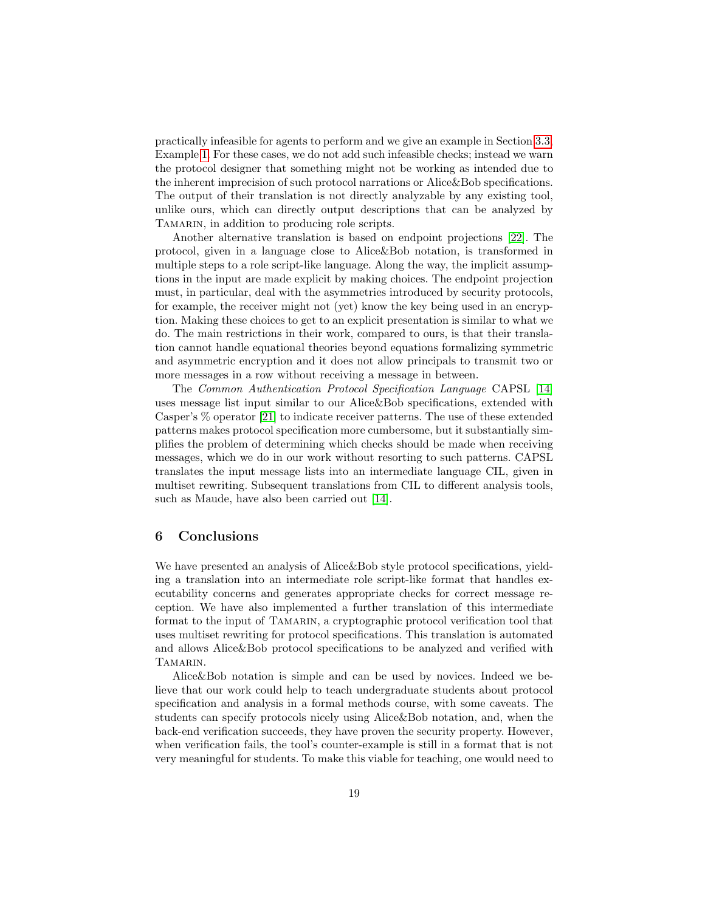practically infeasible for agents to perform and we give an example in Section [3.3,](#page-10-0) Example [1.](#page-10-1) For these cases, we do not add such infeasible checks; instead we warn the protocol designer that something might not be working as intended due to the inherent imprecision of such protocol narrations or Alice&Bob specifications. The output of their translation is not directly analyzable by any existing tool, unlike ours, which can directly output descriptions that can be analyzed by TAMARIN, in addition to producing role scripts.

Another alternative translation is based on endpoint projections [\[22\]](#page-20-14). The protocol, given in a language close to Alice&Bob notation, is transformed in multiple steps to a role script-like language. Along the way, the implicit assumptions in the input are made explicit by making choices. The endpoint projection must, in particular, deal with the asymmetries introduced by security protocols, for example, the receiver might not (yet) know the key being used in an encryption. Making these choices to get to an explicit presentation is similar to what we do. The main restrictions in their work, compared to ours, is that their translation cannot handle equational theories beyond equations formalizing symmetric and asymmetric encryption and it does not allow principals to transmit two or more messages in a row without receiving a message in between.

The Common Authentication Protocol Specification Language CAPSL [\[14\]](#page-20-15) uses message list input similar to our Alice&Bob specifications, extended with Casper's % operator [\[21\]](#page-20-16) to indicate receiver patterns. The use of these extended patterns makes protocol specification more cumbersome, but it substantially simplifies the problem of determining which checks should be made when receiving messages, which we do in our work without resorting to such patterns. CAPSL translates the input message lists into an intermediate language CIL, given in multiset rewriting. Subsequent translations from CIL to different analysis tools, such as Maude, have also been carried out [\[14\]](#page-20-15).

## <span id="page-18-0"></span>6 Conclusions

We have presented an analysis of Alice&Bob style protocol specifications, yielding a translation into an intermediate role script-like format that handles executability concerns and generates appropriate checks for correct message reception. We have also implemented a further translation of this intermediate format to the input of TAMARIN, a cryptographic protocol verification tool that uses multiset rewriting for protocol specifications. This translation is automated and allows Alice&Bob protocol specifications to be analyzed and verified with TAMARIN.

Alice&Bob notation is simple and can be used by novices. Indeed we believe that our work could help to teach undergraduate students about protocol specification and analysis in a formal methods course, with some caveats. The students can specify protocols nicely using Alice&Bob notation, and, when the back-end verification succeeds, they have proven the security property. However, when verification fails, the tool's counter-example is still in a format that is not very meaningful for students. To make this viable for teaching, one would need to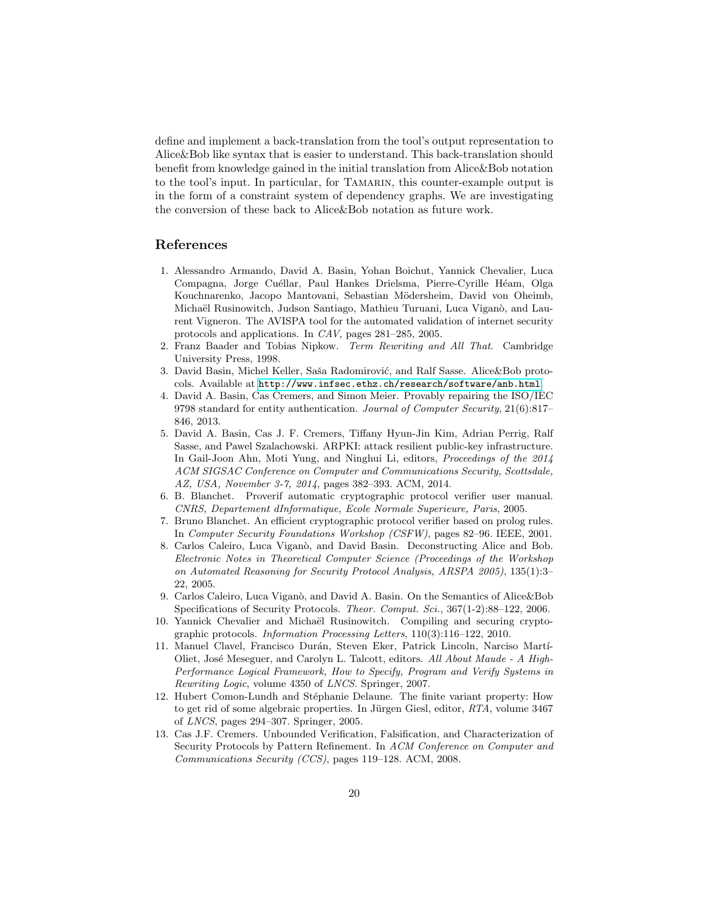define and implement a back-translation from the tool's output representation to Alice&Bob like syntax that is easier to understand. This back-translation should benefit from knowledge gained in the initial translation from Alice&Bob notation to the tool's input. In particular, for Tamarin, this counter-example output is in the form of a constraint system of dependency graphs. We are investigating the conversion of these back to Alice&Bob notation as future work.

# References

- <span id="page-19-4"></span>1. Alessandro Armando, David A. Basin, Yohan Boichut, Yannick Chevalier, Luca Compagna, Jorge Cuéllar, Paul Hankes Drielsma, Pierre-Cyrille Héam, Olga Kouchnarenko, Jacopo Mantovani, Sebastian Mödersheim, David von Oheimb, Michaël Rusinowitch, Judson Santiago, Mathieu Turuani, Luca Viganò, and Laurent Vigneron. The AVISPA tool for the automated validation of internet security protocols and applications. In CAV, pages 281–285, 2005.
- <span id="page-19-8"></span>2. Franz Baader and Tobias Nipkow. Term Rewriting and All That. Cambridge University Press, 1998.
- <span id="page-19-9"></span>3. David Basin, Michel Keller, Saša Radomirović, and Ralf Sasse. Alice&Bob protocols. Available at <http://www.infsec.ethz.ch/research/software/anb.html>.
- <span id="page-19-0"></span>4. David A. Basin, Cas Cremers, and Simon Meier. Provably repairing the ISO/IEC 9798 standard for entity authentication. Journal of Computer Security, 21(6):817– 846, 2013.
- <span id="page-19-3"></span>5. David A. Basin, Cas J. F. Cremers, Tiffany Hyun-Jin Kim, Adrian Perrig, Ralf Sasse, and Pawel Szalachowski. ARPKI: attack resilient public-key infrastructure. In Gail-Joon Ahn, Moti Yung, and Ninghui Li, editors, Proceedings of the 2014 ACM SIGSAC Conference on Computer and Communications Security, Scottsdale, AZ, USA, November 3-7, 2014, pages 382–393. ACM, 2014.
- <span id="page-19-1"></span>6. B. Blanchet. Proverif automatic cryptographic protocol verifier user manual. CNRS, Departement dInformatique, Ecole Normale Superieure, Paris, 2005.
- <span id="page-19-11"></span>7. Bruno Blanchet. An efficient cryptographic protocol verifier based on prolog rules. In Computer Security Foundations Workshop (CSFW), pages 82–96. IEEE, 2001.
- <span id="page-19-10"></span>8. Carlos Caleiro, Luca Viganò, and David Basin. Deconstructing Alice and Bob. Electronic Notes in Theoretical Computer Science (Proceedings of the Workshop on Automated Reasoning for Security Protocol Analysis, ARSPA 2005), 135(1):3– 22, 2005.
- <span id="page-19-6"></span>9. Carlos Caleiro, Luca Viganò, and David A. Basin. On the Semantics of Alice&Bob Specifications of Security Protocols. Theor. Comput. Sci., 367(1-2):88–122, 2006.
- <span id="page-19-12"></span>10. Yannick Chevalier and Michaël Rusinowitch. Compiling and securing cryptographic protocols. Information Processing Letters, 110(3):116–122, 2010.
- <span id="page-19-7"></span>11. Manuel Clavel, Francisco Durán, Steven Eker, Patrick Lincoln, Narciso Martí-Oliet, José Meseguer, and Carolyn L. Talcott, editors. All About Maude - A High-Performance Logical Framework, How to Specify, Program and Verify Systems in Rewriting Logic, volume 4350 of LNCS. Springer, 2007.
- <span id="page-19-5"></span>12. Hubert Comon-Lundh and Stéphanie Delaune. The finite variant property: How to get rid of some algebraic properties. In Jürgen Giesl, editor, RTA, volume 3467 of LNCS, pages 294–307. Springer, 2005.
- <span id="page-19-2"></span>13. Cas J.F. Cremers. Unbounded Verification, Falsification, and Characterization of Security Protocols by Pattern Refinement. In ACM Conference on Computer and Communications Security (CCS), pages 119–128. ACM, 2008.